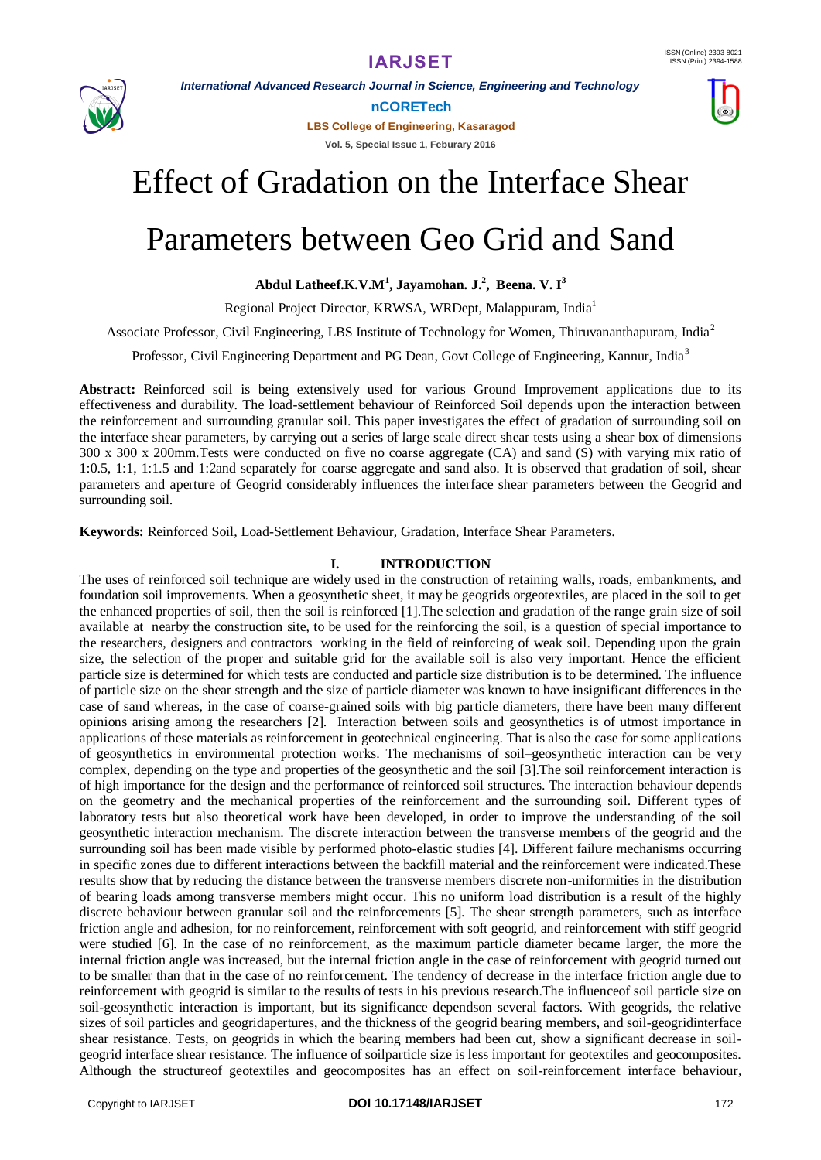

*International Advanced Research Journal in Science, Engineering and Technology*

**nCORETech**

**LBS College of Engineering, Kasaragod Vol. 5, Special Issue 1, Feburary 2016**



# Parameters between Geo Grid and Sand

**Abdul Latheef.K.V.M<sup>1</sup> , Jayamohan. J.<sup>2</sup> , Beena. V. I<sup>3</sup>**

Regional Project Director, KRWSA, WRDept, Malappuram, India<sup>1</sup>

Associate Professor, Civil Engineering, LBS Institute of Technology for Women, Thiruvananthapuram, India<sup>2</sup>

Professor, Civil Engineering Department and PG Dean, Govt College of Engineering, Kannur, India<sup>3</sup>

**Abstract:** Reinforced soil is being extensively used for various Ground Improvement applications due to its effectiveness and durability. The load-settlement behaviour of Reinforced Soil depends upon the interaction between the reinforcement and surrounding granular soil. This paper investigates the effect of gradation of surrounding soil on the interface shear parameters, by carrying out a series of large scale direct shear tests using a shear box of dimensions 300 x 300 x 200mm.Tests were conducted on five no coarse aggregate (CA) and sand (S) with varying mix ratio of 1:0.5, 1:1, 1:1.5 and 1:2and separately for coarse aggregate and sand also. It is observed that gradation of soil, shear parameters and aperture of Geogrid considerably influences the interface shear parameters between the Geogrid and surrounding soil.

**Keywords:** Reinforced Soil, Load-Settlement Behaviour, Gradation, Interface Shear Parameters.

### **I. INTRODUCTION**

The uses of reinforced soil technique are widely used in the construction of retaining walls, roads, embankments, and foundation soil improvements. When a geosynthetic sheet, it may be geogrids orgeotextiles, are placed in the soil to get the enhanced properties of soil, then the soil is reinforced [1].The selection and gradation of the range grain size of soil available at nearby the construction site, to be used for the reinforcing the soil, is a question of special importance to the researchers, designers and contractors working in the field of reinforcing of weak soil. Depending upon the grain size, the selection of the proper and suitable grid for the available soil is also very important. Hence the efficient particle size is determined for which tests are conducted and particle size distribution is to be determined. The influence of particle size on the shear strength and the size of particle diameter was known to have insignificant differences in the case of sand whereas, in the case of coarse-grained soils with big particle diameters, there have been many different opinions arising among the researchers [2]. Interaction between soils and geosynthetics is of utmost importance in applications of these materials as reinforcement in geotechnical engineering. That is also the case for some applications of geosynthetics in environmental protection works. The mechanisms of soil–geosynthetic interaction can be very complex, depending on the type and properties of the geosynthetic and the soil [3].The soil reinforcement interaction is of high importance for the design and the performance of reinforced soil structures. The interaction behaviour depends on the geometry and the mechanical properties of the reinforcement and the surrounding soil. Different types of laboratory tests but also theoretical work have been developed, in order to improve the understanding of the soil geosynthetic interaction mechanism. The discrete interaction between the transverse members of the geogrid and the surrounding soil has been made visible by performed photo-elastic studies [4]. Different failure mechanisms occurring in specific zones due to different interactions between the backfill material and the reinforcement were indicated.These results show that by reducing the distance between the transverse members discrete non-uniformities in the distribution of bearing loads among transverse members might occur. This no uniform load distribution is a result of the highly discrete behaviour between granular soil and the reinforcements [5]. The shear strength parameters, such as interface friction angle and adhesion, for no reinforcement, reinforcement with soft geogrid, and reinforcement with stiff geogrid were studied [6]. In the case of no reinforcement, as the maximum particle diameter became larger, the more the internal friction angle was increased, but the internal friction angle in the case of reinforcement with geogrid turned out to be smaller than that in the case of no reinforcement. The tendency of decrease in the interface friction angle due to reinforcement with geogrid is similar to the results of tests in his previous research.The influenceof soil particle size on soil-geosynthetic interaction is important, but its significance dependson several factors. With geogrids, the relative sizes of soil particles and geogridapertures, and the thickness of the geogrid bearing members, and soil-geogridinterface shear resistance. Tests, on geogrids in which the bearing members had been cut, show a significant decrease in soilgeogrid interface shear resistance. The influence of soilparticle size is less important for geotextiles and geocomposites. Although the structureof geotextiles and geocomposites has an effect on soil-reinforcement interface behaviour,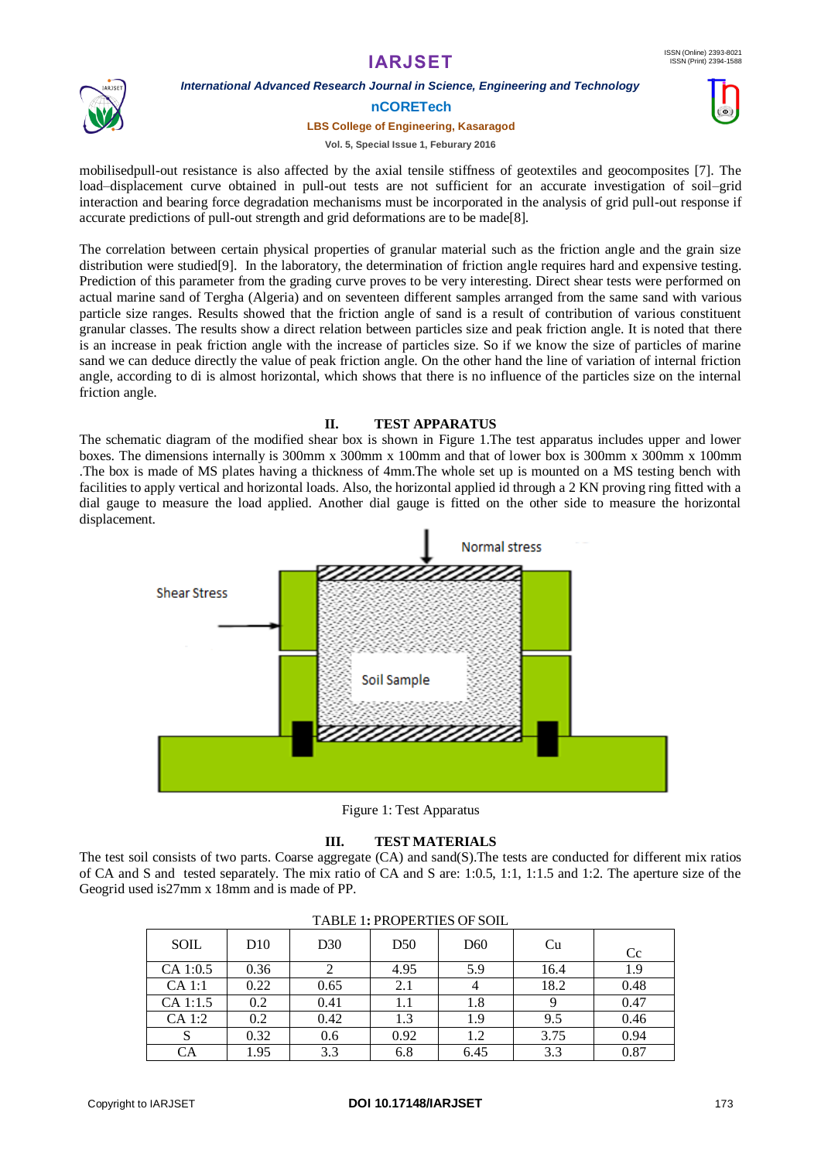## **IARJSET**



### *International Advanced Research Journal in Science, Engineering and Technology*

**nCORETech**

#### **LBS College of Engineering, Kasaragod**

**Vol. 5, Special Issue 1, Feburary 2016**

mobilisedpull-out resistance is also affected by the axial tensile stiffness of geotextiles and geocomposites [7]. The load–displacement curve obtained in pull-out tests are not sufficient for an accurate investigation of soil–grid interaction and bearing force degradation mechanisms must be incorporated in the analysis of grid pull-out response if accurate predictions of pull-out strength and grid deformations are to be made[8].

The correlation between certain physical properties of granular material such as the friction angle and the grain size distribution were studied[9]. In the laboratory, the determination of friction angle requires hard and expensive testing. Prediction of this parameter from the grading curve proves to be very interesting. Direct shear tests were performed on actual marine sand of Tergha (Algeria) and on seventeen different samples arranged from the same sand with various particle size ranges. Results showed that the friction angle of sand is a result of contribution of various constituent granular classes. The results show a direct relation between particles size and peak friction angle. It is noted that there is an increase in peak friction angle with the increase of particles size. So if we know the size of particles of marine sand we can deduce directly the value of peak friction angle. On the other hand the line of variation of internal friction angle, according to di is almost horizontal, which shows that there is no influence of the particles size on the internal friction angle.

### **II. TEST APPARATUS**

The schematic diagram of the modified shear box is shown in Figure 1.The test apparatus includes upper and lower boxes. The dimensions internally is 300mm x 300mm x 100mm and that of lower box is 300mm x 300mm x 100mm .The box is made of MS plates having a thickness of 4mm.The whole set up is mounted on a MS testing bench with facilities to apply vertical and horizontal loads. Also, the horizontal applied id through a 2 KN proving ring fitted with a dial gauge to measure the load applied. Another dial gauge is fitted on the other side to measure the horizontal displacement.



Figure 1: Test Apparatus

### **III. TEST MATERIALS**

The test soil consists of two parts. Coarse aggregate (CA) and sand(S).The tests are conducted for different mix ratios of CA and S and tested separately. The mix ratio of CA and S are: 1:0.5, 1:1, 1:1.5 and 1:2. The aperture size of the Geogrid used is27mm x 18mm and is made of PP.

| TABLE 1.1 NOI ENTILS OF SOIL |      |                 |      |      |      |      |  |  |
|------------------------------|------|-----------------|------|------|------|------|--|--|
| SOIL                         | D10  | D <sub>30</sub> | D50  | D60  | Cu   | Cc   |  |  |
| CA 1:0.5                     | 0.36 |                 | 4.95 | 5.9  | 16.4 | 1.9  |  |  |
| $CA$ 1:1                     | 0.22 | 0.65            | 2.1  |      | 18.2 | 0.48 |  |  |
| CA 1:1.5                     | 0.2  | 0.41            |      | 1.8  |      | 0.47 |  |  |
| CA 1:2                       | 0.2  | 0.42            | 1.3  | 1.9  | 9.5  | 0.46 |  |  |
| J.                           | 0.32 | 0.6             | 0.92 | 1.2  | 3.75 | 0.94 |  |  |
| CA                           | 1.95 | 3.3             | 6.8  | 6.45 | 3.3  | 0.87 |  |  |

| <b>TABLE 1: PROPERTIES OF SOIL</b> |  |  |
|------------------------------------|--|--|
|------------------------------------|--|--|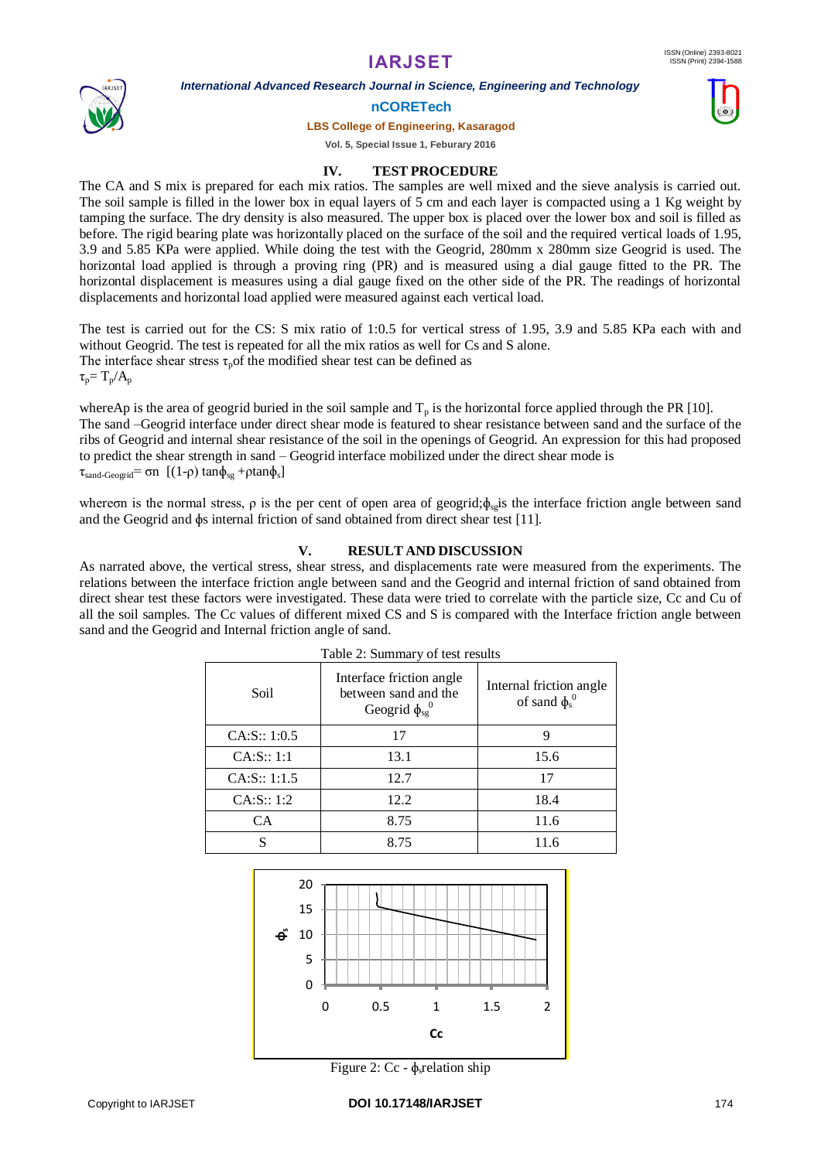# **IARJSET**

*International Advanced Research Journal in Science, Engineering and Technology*



#### **nCORETech**

**LBS College of Engineering, Kasaragod**

**Vol. 5, Special Issue 1, Feburary 2016**

### **IV. TEST PROCEDURE**

The CA and S mix is prepared for each mix ratios. The samples are well mixed and the sieve analysis is carried out. The soil sample is filled in the lower box in equal layers of 5 cm and each layer is compacted using a 1 Kg weight by tamping the surface. The dry density is also measured. The upper box is placed over the lower box and soil is filled as before. The rigid bearing plate was horizontally placed on the surface of the soil and the required vertical loads of 1.95, 3.9 and 5.85 KPa were applied. While doing the test with the Geogrid, 280mm x 280mm size Geogrid is used. The horizontal load applied is through a proving ring (PR) and is measured using a dial gauge fitted to the PR. The horizontal displacement is measures using a dial gauge fixed on the other side of the PR. The readings of horizontal displacements and horizontal load applied were measured against each vertical load.

The test is carried out for the CS: S mix ratio of 1:0.5 for vertical stress of 1.95, 3.9 and 5.85 KPa each with and without Geogrid. The test is repeated for all the mix ratios as well for Cs and S alone. The interface shear stress  $\tau_p$  of the modified shear test can be defined as  $\tau_p = T_p/A_p$ 

whereAp is the area of geogrid buried in the soil sample and  $T_p$  is the horizontal force applied through the PR [10]. The sand –Geogrid interface under direct shear mode is featured to shear resistance between sand and the surface of the ribs of Geogrid and internal shear resistance of the soil in the openings of Geogrid. An expression for this had proposed to predict the shear strength in sand – Geogrid interface mobilized under the direct shear mode is  $\tau_{\text{sand-Geogrid}} = \sigma n \left[ (1-\rho) \tan \phi_{\text{sg}} + \rho \tan \phi_{\text{s}} \right]$ 

where on is the normal stress,  $\rho$  is the per cent of open area of geogrid; $\phi_{sg}$  is the interface friction angle between sand and the Geogrid and ɸs internal friction of sand obtained from direct shear test [11].

### **V. RESULT AND DISCUSSION**

As narrated above, the vertical stress, shear stress, and displacements rate were measured from the experiments. The relations between the interface friction angle between sand and the Geogrid and internal friction of sand obtained from direct shear test these factors were investigated. These data were tried to correlate with the particle size, Cc and Cu of all the soil samples. The Cc values of different mixed CS and S is compared with the Interface friction angle between sand and the Geogrid and Internal friction angle of sand.

| Soil          | Interface friction angle<br>between sand and the<br>Geogrid $\phi_{sg}^0$ | Internal friction angle<br>of sand $\phi_s^0$ |
|---------------|---------------------------------------------------------------------------|-----------------------------------------------|
| CA: S:: 1:0.5 | 17                                                                        |                                               |
| CA: S:: 1:1   | 13.1                                                                      | 15.6                                          |
| CA: S:: 1:1.5 | 12.7                                                                      | 17                                            |
| CA: S:: 1:2   | 12.2                                                                      | 18.4                                          |
| CA            | 8.75                                                                      | 11.6                                          |
| S             | 8.75                                                                      | 11.6                                          |



Figure 2: Cc -  $\phi_s$  relation ship